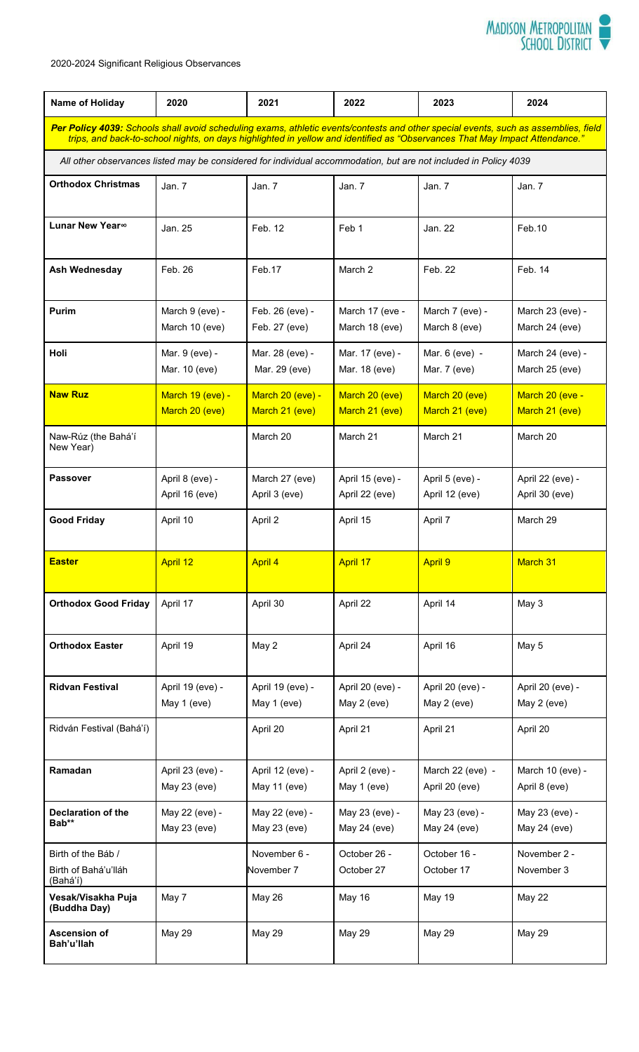

2020-2024 Significant Religious Observances

| Name of Holiday                                                                                                                                                                                                                                                    | 2020                               | 2021                               | 2022                               | 2023                               | 2024                               |  |
|--------------------------------------------------------------------------------------------------------------------------------------------------------------------------------------------------------------------------------------------------------------------|------------------------------------|------------------------------------|------------------------------------|------------------------------------|------------------------------------|--|
| Per Policy 4039: Schools shall avoid scheduling exams, athletic events/contests and other special events, such as assemblies, field<br>trips, and back-to-school nights, on days highlighted in yellow and identified as "Observances That May Impact Attendance." |                                    |                                    |                                    |                                    |                                    |  |
| All other observances listed may be considered for individual accommodation, but are not included in Policy 4039                                                                                                                                                   |                                    |                                    |                                    |                                    |                                    |  |
| <b>Orthodox Christmas</b>                                                                                                                                                                                                                                          | Jan. 7                             | Jan. $7$                           | Jan. 7                             | Jan. 7                             | Jan. 7                             |  |
| <b>Lunar New Year</b> <sup>∞</sup>                                                                                                                                                                                                                                 | Jan. 25                            | Feb. 12                            | Feb 1                              | Jan. 22                            | Feb.10                             |  |
| Ash Wednesday                                                                                                                                                                                                                                                      | Feb. 26                            | Feb.17                             | March 2                            | Feb. 22                            | Feb. 14                            |  |
| <b>Purim</b>                                                                                                                                                                                                                                                       | March 9 (eve) -<br>March 10 (eve)  | Feb. 26 (eve) -<br>Feb. 27 (eve)   | March 17 (eve -<br>March 18 (eve)  | March 7 (eve) -<br>March 8 (eve)   | March 23 (eve) -<br>March 24 (eve) |  |
| Holi                                                                                                                                                                                                                                                               | Mar. 9 (eve) -<br>Mar. 10 (eve)    | Mar. 28 (eve) -<br>Mar. 29 (eve)   | Mar. 17 (eve) -<br>Mar. 18 (eve)   | Mar. 6 (eve) -<br>Mar. 7 (eve)     | March 24 (eve) -<br>March 25 (eve) |  |
| <b>Naw Ruz</b>                                                                                                                                                                                                                                                     | March 19 (eve) -<br>March 20 (eve) | March 20 (eve) -<br>March 21 (eve) | March 20 (eve)<br>March 21 (eve)   | March 20 (eve)<br>March 21 (eve)   | March 20 (eve -<br>March 21 (eve)  |  |
| Naw-Rúz (the Bahá'í<br>New Year)                                                                                                                                                                                                                                   |                                    | March 20                           | March 21                           | March 21                           | March 20                           |  |
| <b>Passover</b>                                                                                                                                                                                                                                                    | April 8 (eve) -<br>April 16 (eve)  | March 27 (eve)<br>April 3 (eve)    | April 15 (eve) -<br>April 22 (eve) | April 5 (eve) -<br>April 12 (eve)  | April 22 (eve) -<br>April 30 (eve) |  |
| <b>Good Friday</b>                                                                                                                                                                                                                                                 | April 10                           | April 2                            | April 15                           | April 7                            | March 29                           |  |
| <b>Easter</b>                                                                                                                                                                                                                                                      | April 12                           | <b>April 4</b>                     | <b>April 17</b>                    | <b>April 9</b>                     | March 31                           |  |
| <b>Orthodox Good Friday</b>                                                                                                                                                                                                                                        | April 17                           | April 30                           | April 22                           | April 14                           | May 3                              |  |
| <b>Orthodox Easter</b>                                                                                                                                                                                                                                             | April 19                           | May 2                              | April 24                           | April 16                           | May 5                              |  |
| <b>Ridvan Festival</b>                                                                                                                                                                                                                                             | April 19 (eve) -<br>May 1 (eve)    | April 19 (eve) -<br>May 1 (eve)    | April 20 (eve) -<br>May 2 (eve)    | April 20 (eve) -<br>May 2 (eve)    | April 20 (eve) -<br>May 2 (eve)    |  |
| Ridván Festival (Bahá'í)                                                                                                                                                                                                                                           |                                    | April 20                           | April 21                           | April 21                           | April 20                           |  |
| Ramadan                                                                                                                                                                                                                                                            | April 23 (eve) -<br>May 23 (eve)   | April 12 (eve) -<br>May 11 (eve)   | April 2 (eve) -<br>May 1 (eve)     | March 22 (eve) -<br>April 20 (eve) | March 10 (eve) -<br>April 8 (eve)  |  |
| <b>Declaration of the</b><br>Bab**                                                                                                                                                                                                                                 | May 22 (eve) -<br>May 23 (eve)     | May 22 (eve) -<br>May 23 (eve)     | May 23 (eve) -<br>May 24 (eve)     | May 23 (eve) -<br>May 24 (eve)     | May 23 (eve) -<br>May 24 (eve)     |  |
| Birth of the Báb /<br>Birth of Bahá'u'lláh<br>(Bahá'í)                                                                                                                                                                                                             |                                    | November 6 -<br>November 7         | October 26 -<br>October 27         | October 16 -<br>October 17         | November 2 -<br>November 3         |  |
| Vesak/Visakha Puja<br>(Buddha Day)                                                                                                                                                                                                                                 | May 7                              | May 26                             | May 16                             | May 19                             | May 22                             |  |
| <b>Ascension of</b><br>Bah'u'llah                                                                                                                                                                                                                                  | May 29                             | <b>May 29</b>                      | <b>May 29</b>                      | <b>May 29</b>                      | May 29                             |  |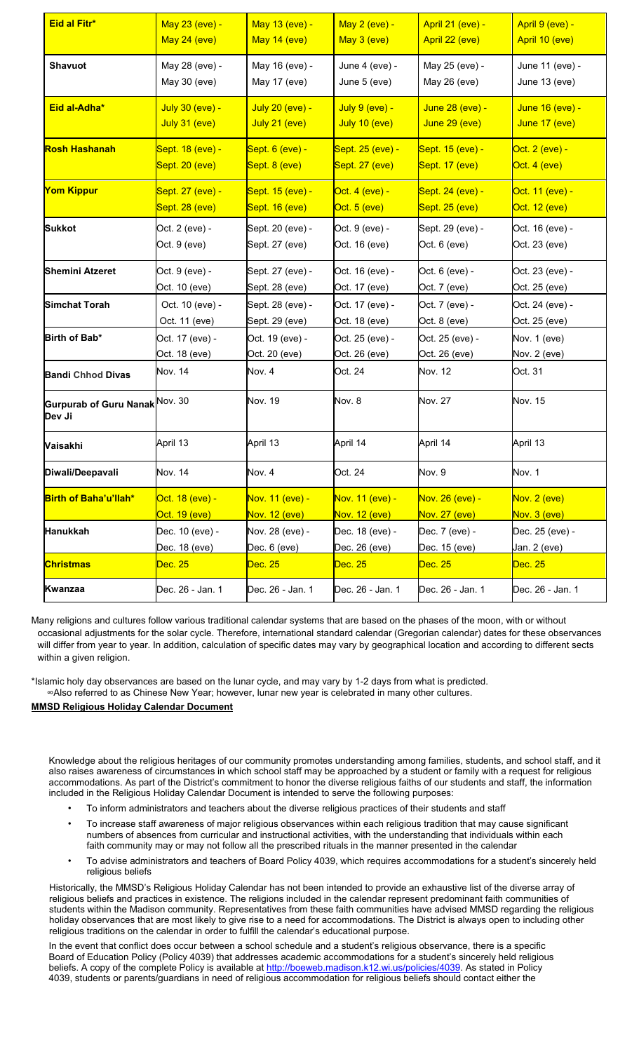| Eid al Fitr*                                         | May 23 (eve) -   | May 13 (eve) -   | May 2 (eve) -    | April 21 (eve) - | April 9 (eve) -  |
|------------------------------------------------------|------------------|------------------|------------------|------------------|------------------|
|                                                      | May 24 (eve)     | May 14 (eve)     | May 3 (eve)      | April 22 (eve)   | April 10 (eve)   |
| <b>Shavuot</b>                                       | May 28 (eve) -   | May 16 (eve) -   | June 4 (eve) -   | May 25 (eve) -   | June 11 (eve) -  |
|                                                      | May 30 (eve)     | May 17 (eve)     | June 5 (eve)     | May 26 (eve)     | June 13 (eve)    |
| Eid al-Adha*                                         | July 30 (eve) -  | July 20 (eve) -  | $July 9 (eve) -$ | June 28 (eve) -  | June 16 (eve) -  |
|                                                      | July 31 (eve)    | July 21 (eve)    | July 10 (eve)    | June 29 (eve)    | June 17 (eve)    |
| Rosh Hashanah                                        | Sept. 18 (eve) - | Sept. 6 (eve) -  | Sept. 25 (eve) - | Sept. 15 (eve) - | Oct. 2 (eve) -   |
|                                                      | Sept. 20 (eve)   | Sept. 8 (eve)    | Sept. 27 (eve)   | Sept. 17 (eve)   | Oct. 4 (eve)     |
| Yom Kippur                                           | Sept. 27 (eve) - | Sept. 15 (eve) - | Oct. 4 (eve) -   | Sept. 24 (eve) - | Oct. 11 (eve) -  |
|                                                      | Sept. 28 (eve)   | Sept. 16 (eve)   | Oct. 5 (eve)     | Sept. 25 (eve)   | Oct. 12 (eve)    |
| <b>Sukkot</b>                                        | Oct. 2 (eve) -   | Sept. 20 (eve) - | Oct. 9 (eve) -   | Sept. 29 (eve) - | Oct. 16 (eve) -  |
|                                                      | Oct. 9 (eve)     | Sept. 27 (eve)   | Oct. 16 (eve)    | Oct. 6 (eve)     | Oct. 23 (eve)    |
| <b>Shemini Atzeret</b>                               | Oct. 9 (eve) -   | Sept. 27 (eve) - | Oct. 16 (eve) -  | Oct. 6 (eve) -   | Oct. 23 (eve) -  |
|                                                      | Oct. 10 (eve)    | Sept. 28 (eve)   | Oct. 17 (eve)    | Oct. 7 (eve)     | Oct. 25 (eve)    |
| <b>Simchat Torah</b>                                 | Oct. 10 (eve) -  | Sept. 28 (eve) - | Oct. 17 (eve) -  | Oct. 7 (eve) -   | Oct. 24 (eve) -  |
|                                                      | Oct. 11 (eve)    | Sept. 29 (eve)   | Oct. 18 (eve)    | Oct. 8 (eve)     | Oct. 25 (eve)    |
| Birth of Bab*                                        | Oct. 17 (eve) -  | Oct. 19 (eve) -  | Oct. 25 (eve) -  | Oct. 25 (eve) -  | Nov. 1 (eve)     |
|                                                      | Oct. 18 (eve)    | Oct. 20 (eve)    | Oct. 26 (eve)    | Oct. 26 (eve)    | Nov. 2 (eve)     |
| <b>Bandi Chhod Divas</b>                             | Nov. 14          | Nov. 4           | Oct. 24          | Nov. 12          | Oct. 31          |
| Gurpurab of Guru Nanak <sup> Nov. 30</sup><br>Dev Ji |                  | Nov. 19          | Nov. 8           | <b>Nov. 27</b>   | Nov. 15          |
| Vaisakhi                                             | April 13         | April 13         | April 14         | April 14         | April 13         |
| Diwali/Deepavali                                     | Nov. 14          | Nov. 4           | Oct. 24          | Nov. 9           | Nov. 1           |
| Birth of Baha'u'llah*                                | Oct. 18 (eve) -  | Nov. 11 (eve) -  | Nov. 11 (eve) -  | Nov. 26 (eve) -  | Nov. 2 (eve)     |
|                                                      | Oct. 19 (eve)    | Nov. 12 (eve)    | Nov. 12 (eve)    | Nov. 27 (eve)    | Nov. 3 (eve)     |
| <b>Hanukkah</b>                                      | Dec. 10 (eve) -  | Nov. 28 (eve) -  | Dec. 18 (eve) -  | Dec. 7 (eve) -   | Dec. 25 (eve) -  |
|                                                      | Dec. 18 (eve)    | Dec. 6 (eve)     | Dec. 26 (eve)    | Dec. 15 (eve)    | Jan. 2 (eve)     |
| <b>Christmas</b>                                     | Dec. 25          | Dec. 25          | Dec. 25          | Dec. 25          | Dec. 25          |
| Kwanzaa                                              | Dec. 26 - Jan. 1 | Dec. 26 - Jan. 1 | Dec. 26 - Jan. 1 | Dec. 26 - Jan. 1 | Dec. 26 - Jan. 1 |

Many religions and cultures follow various traditional calendar systems that are based on the phases of the moon, with or without occasional adjustments for the solar cycle. Therefore, international standard calendar (Gregorian calendar) dates for these observances will differ from year to year. In addition, calculation of specific dates may vary by geographical location and according to different sects within a given religion.

\*Islamic holy day observances are based on the lunar cycle, and may vary by 1-2 days from what is predicted. ∞Also referred to as Chinese New Year; however, lunar new year is celebrated in many other cultures. **MMSD Religious Holiday Calendar Document**

Knowledge about the religious heritages of our community promotes understanding among families, students, and school staff, and it also raises awareness of circumstances in which school staff may be approached by a student or family with a request for religious accommodations. As part of the District's commitment to honor the diverse religious faiths of our students and staff, the information included in the Religious Holiday Calendar Document is intended to serve the following purposes:

- To inform administrators and teachers about the diverse religious practices of their students and staff
- To increase staff awareness of major religious observances within each religious tradition that may cause significant numbers of absences from curricular and instructional activities, with the understanding that individuals within each faith community may or may not follow all the prescribed rituals in the manner presented in the calendar
- To advise administrators and teachers of Board Policy 4039, which requires accommodations for a student's sincerely held religious beliefs

Historically, the MMSD's Religious Holiday Calendar has not been intended to provide an exhaustive list of the diverse array of religious beliefs and practices in existence. The religions included in the calendar represent predominant faith communities of students within the Madison community. Representatives from these faith communities have advised MMSD regarding the religious holiday observances that are most likely to give rise to a need for accommodations. The District is always open to including other religious traditions on the calendar in order to fulfill the calendar's educational purpose.

In the event that conflict does occur between a school schedule and a student's religious observance, there is a specific Board of Education Policy (Policy 4039) that addresses academic accommodations for a student's sincerely held religious beliefs. A copy of the complete Policy is available at <http://boeweb.madison.k12.wi.us/policies/4039>[.](http://boeweb.madison.k12.wi.us/policies/4039) As stated in Policy 4039, students or parents/guardians in need of religious accommodation for religious beliefs should contact either the